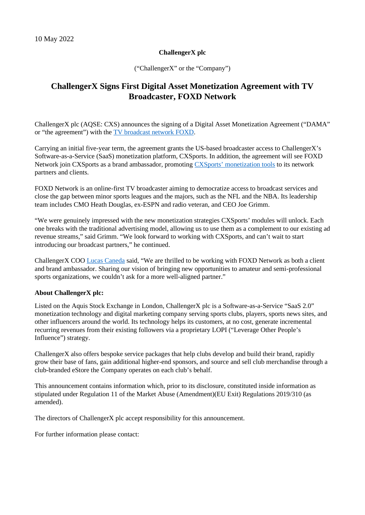## **ChallengerX plc**

("ChallengerX" or the "Company")

## **ChallengerX Signs First Digital Asset Monetization Agreement with TV Broadcaster, FOXD Network**

ChallengerX plc (AQSE: CXS) announces the signing of a Digital Asset Monetization Agreement ("DAMA" or "the agreement") with the [TV broadcast network FOXD.](https://foxd.network/)

Carrying an initial five-year term, the agreement grants the US-based broadcaster access to ChallengerX's Software-as-a-Service (SaaS) monetization platform, CXSports. In addition, the agreement will see FOXD Network join CXSports as a brand ambassador, promoting [CXSports' monetization tool](https://cxsports.io/)s to its network partners and clients.

FOXD Network is an online-first TV broadcaster aiming to democratize access to broadcast services and close the gap between minor sports leagues and the majors, such as the NFL and the NBA. Its leadership team includes CMO Heath Douglas, ex-ESPN and radio veteran, and CEO Joe Grimm.

"We were genuinely impressed with the new monetization strategies CXSports' modules will unlock. Each one breaks with the traditional advertising model, allowing us to use them as a complement to our existing ad revenue streams," said Grimm. "We look forward to working with CXSports, and can't wait to start introducing our broadcast partners," he continued.

ChallengerX COO [Lucas Caneda](https://cxsports.io/lucas-caneda/) said, "We are thrilled to be working with FOXD Network as both a client and brand ambassador. Sharing our vision of bringing new opportunities to amateur and semi-professional sports organizations, we couldn't ask for a more well-aligned partner."

## **About ChallengerX plc:**

Listed on the Aquis Stock Exchange in London, ChallengerX plc is a Software-as-a-Service "SaaS 2.0" monetization technology and digital marketing company serving sports clubs, players, sports news sites, and other influencers around the world. Its technology helps its customers, at no cost, generate incremental recurring revenues from their existing followers via a proprietary LOPI ("Leverage Other People's Influence") strategy.

ChallengerX also offers bespoke service packages that help clubs develop and build their brand, rapidly grow their base of fans, gain additional higher-end sponsors, and source and sell club merchandise through a club-branded eStore the Company operates on each club's behalf.

This announcement contains information which, prior to its disclosure, constituted inside information as stipulated under Regulation 11 of the Market Abuse (Amendment)(EU Exit) Regulations 2019/310 (as amended).

The directors of ChallengerX plc accept responsibility for this announcement.

For further information please contact: